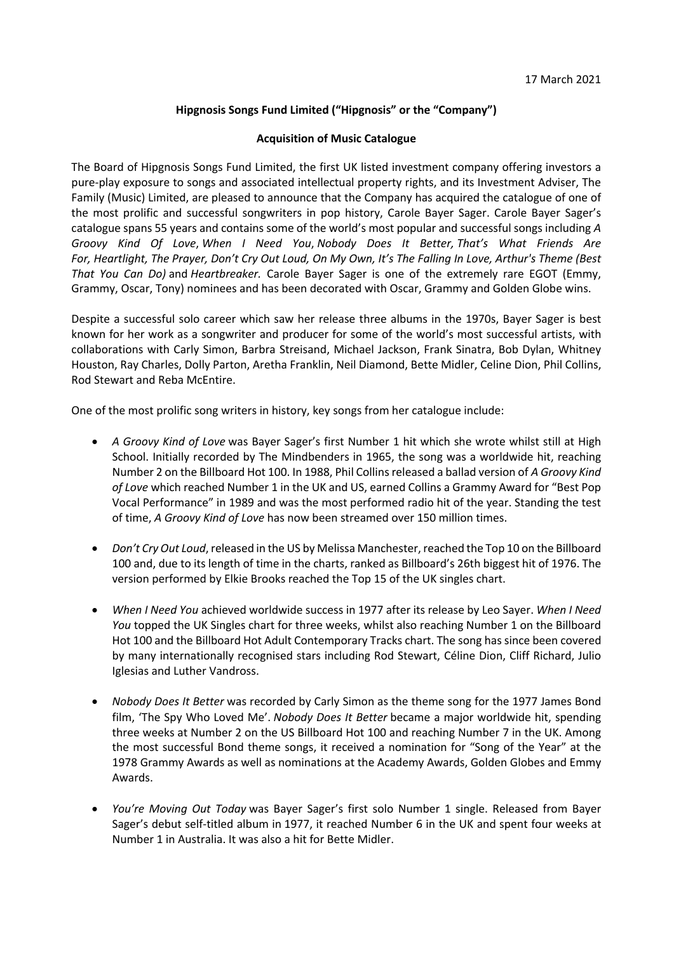# **Hipgnosis Songs Fund Limited ("Hipgnosis" or the "Company")**

## **Acquisition of Music Catalogue**

The Board of Hipgnosis Songs Fund Limited, the first UK listed investment company offering investors a pure-play exposure to songs and associated intellectual property rights, and its Investment Adviser, The Family (Music) Limited, are pleased to announce that the Company has acquired the catalogue of one of the most prolific and successful songwriters in pop history, Carole Bayer Sager. Carole Bayer Sager's catalogue spans 55 years and contains some of the world's most popular and successful songs including *A Groovy Kind Of Love*, *When I Need You*, *Nobody Does It Better, That's What Friends Are For, Heartlight, The Prayer, Don't Cry Out Loud, On My Own, It's The Falling In Love, Arthur's Theme (Best That You Can Do)* and *Heartbreaker.* Carole Bayer Sager is one of the extremely rare EGOT (Emmy, Grammy, Oscar, Tony) nominees and has been decorated with Oscar, Grammy and Golden Globe wins.

Despite a successful solo career which saw her release three albums in the 1970s, Bayer Sager is best known for her work as a songwriter and producer for some of the world's most successful artists, with collaborations with Carly Simon, Barbra Streisand, Michael Jackson, Frank Sinatra, Bob Dylan, Whitney Houston, Ray Charles, Dolly Parton, Aretha Franklin, Neil Diamond, Bette Midler, Celine Dion, Phil Collins, Rod Stewart and Reba McEntire.

One of the most prolific song writers in history, key songs from her catalogue include:

- *A Groovy Kind of Love* was Bayer Sager's first Number 1 hit which she wrote whilst still at High School. Initially recorded by The Mindbenders in 1965, the song was a worldwide hit, reaching Number 2 on the Billboard Hot 100. In 1988, Phil Collins released a ballad version of *A Groovy Kind of Love* which reached Number 1 in the UK and US, earned Collins a Grammy Award for "Best Pop Vocal Performance" in 1989 and was the most performed radio hit of the year. Standing the test of time, *A Groovy Kind of Love* has now been streamed over 150 million times.
- *Don't Cry Out Loud*, released in the US by Melissa Manchester, reached the Top 10 on the Billboard 100 and, due to its length of time in the charts, ranked as Billboard's 26th biggest hit of 1976. The version performed by Elkie Brooks reached the Top 15 of the UK singles chart.
- *When I Need You* achieved worldwide success in 1977 after its release by Leo Sayer. *When I Need You* topped the UK Singles chart for three weeks, whilst also reaching Number 1 on the Billboard Hot 100 and the Billboard Hot Adult Contemporary Tracks chart. The song has since been covered by many internationally recognised stars including Rod Stewart, Céline Dion, Cliff Richard, Julio Iglesias and Luther Vandross.
- *Nobody Does It Better* was recorded by Carly Simon as the theme song for the 1977 James Bond film, 'The Spy Who Loved Me'. *Nobody Does It Better* became a major worldwide hit, spending three weeks at Number 2 on the US Billboard Hot 100 and reaching Number 7 in the UK. Among the most successful Bond theme songs, it received a nomination for "Song of the Year" at the 1978 Grammy Awards as well as nominations at the Academy Awards, Golden Globes and Emmy Awards.
- *You're Moving Out Today* was Bayer Sager's first solo Number 1 single. Released from Bayer Sager's debut self-titled album in 1977, it reached Number 6 in the UK and spent four weeks at Number 1 in Australia. It was also a hit for Bette Midler.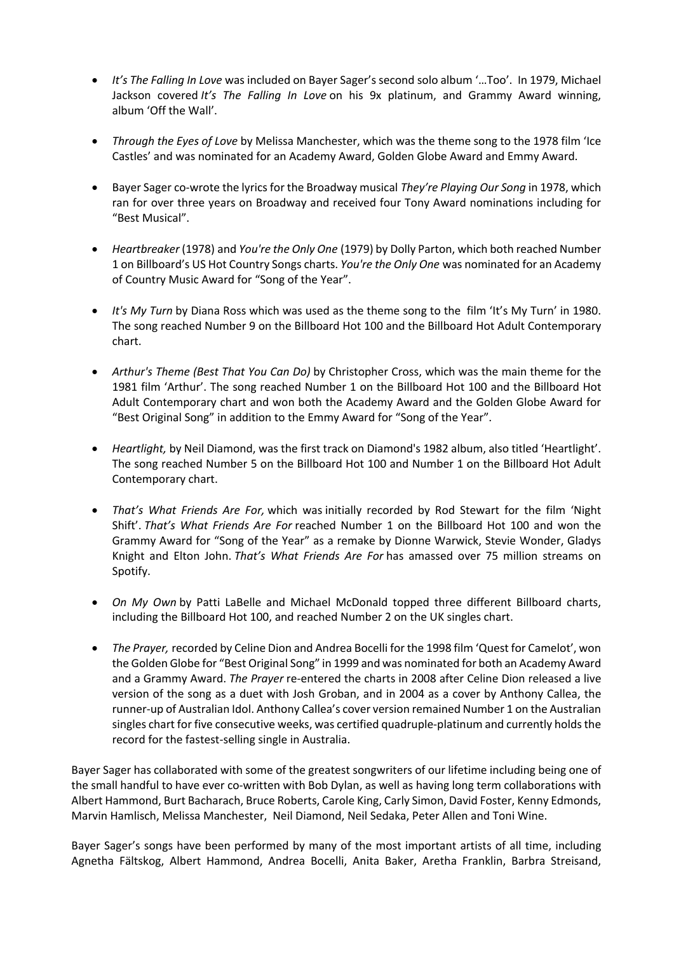- *It's The Falling In Love* was included on Bayer Sager's second solo album '…Too'. In 1979, Michael Jackson covered *It's The Falling In Love* on his 9x platinum, and Grammy Award winning, album 'Off the Wall'.
- *Through the Eyes of Love* by Melissa Manchester, which was the theme song to the 1978 film 'Ice Castles' and was nominated for an Academy Award, Golden Globe Award and Emmy Award.
- Bayer Sager co-wrote the lyrics for the Broadway musical *They're Playing Our Song* in 1978, which ran for over three years on Broadway and received four Tony Award nominations including for "Best Musical".
- *Heartbreaker* (1978) and *You're the Only One* (1979) by Dolly Parton, which both reached Number 1 on Billboard's US Hot Country Songs charts. *You're the Only One* was nominated for an Academy of Country Music Award for "Song of the Year".
- *It's My Turn* by Diana Ross which was used as the theme song to the film 'It's My Turn' in 1980. The song reached Number 9 on the Billboard Hot 100 and the Billboard Hot Adult Contemporary chart.
- *Arthur's Theme (Best That You Can Do)* by Christopher Cross, which was the main theme for the 1981 film 'Arthur'. The song reached Number 1 on the Billboard Hot 100 and the Billboard Hot Adult Contemporary chart and won both the Academy Award and the Golden Globe Award for "Best Original Song" in addition to the Emmy Award for "Song of the Year".
- *Heartlight,* by Neil Diamond, was the first track on Diamond's 1982 album, also titled 'Heartlight'. The song reached Number 5 on the Billboard Hot 100 and Number 1 on the Billboard Hot Adult Contemporary chart.
- *That's What Friends Are For,* which was initially recorded by Rod Stewart for the film 'Night Shift'. *That's What Friends Are For* reached Number 1 on the Billboard Hot 100 and won the Grammy Award for "Song of the Year" as a remake by Dionne Warwick, Stevie Wonder, Gladys Knight and Elton John. *That's What Friends Are For* has amassed over 75 million streams on Spotify.
- *On My Own* by Patti LaBelle and Michael McDonald topped three different Billboard charts, including the Billboard Hot 100, and reached Number 2 on the UK singles chart.
- *The Prayer,* recorded by Celine Dion and Andrea Bocelli for the 1998 film 'Quest for Camelot', won the Golden Globe for "Best Original Song" in 1999 and was nominated for both an Academy Award and a Grammy Award. *The Prayer* re-entered the charts in 2008 after Celine Dion released a live version of the song as a duet with Josh Groban, and in 2004 as a cover by Anthony Callea, the runner-up of Australian Idol. Anthony Callea's cover version remained Number 1 on the Australian singles chart for five consecutive weeks, was certified quadruple-platinum and currently holds the record for the fastest-selling single in Australia.

Bayer Sager has collaborated with some of the greatest songwriters of our lifetime including being one of the small handful to have ever co-written with Bob Dylan, as well as having long term collaborations with Albert Hammond, Burt Bacharach, Bruce Roberts, Carole King, Carly Simon, David Foster, Kenny Edmonds, Marvin Hamlisch, Melissa Manchester, Neil Diamond, Neil Sedaka, Peter Allen and Toni Wine.

Bayer Sager's songs have been performed by many of the most important artists of all time, including Agnetha Fältskog, Albert Hammond, Andrea Bocelli, Anita Baker, Aretha Franklin, Barbra Streisand,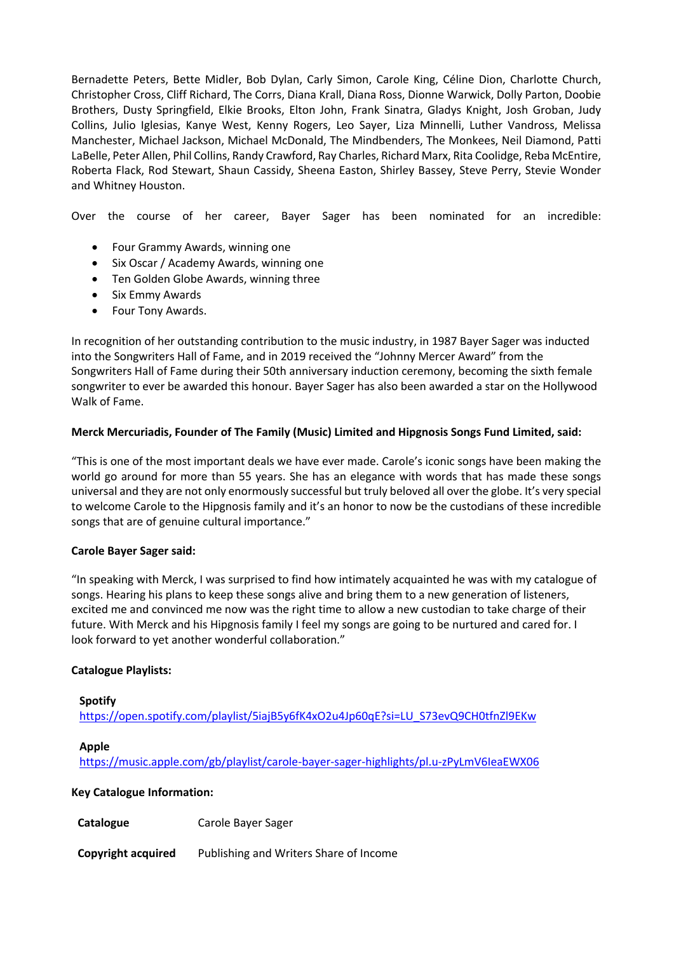Bernadette Peters, Bette Midler, Bob Dylan, Carly Simon, Carole King, Céline Dion, Charlotte Church, Christopher Cross, Cliff Richard, The Corrs, Diana Krall, Diana Ross, Dionne Warwick, Dolly Parton, Doobie Brothers, Dusty Springfield, Elkie Brooks, Elton John, Frank Sinatra, Gladys Knight, Josh Groban, Judy Collins, Julio Iglesias, Kanye West, Kenny Rogers, Leo Sayer, Liza Minnelli, Luther Vandross, Melissa Manchester, Michael Jackson, Michael McDonald, The Mindbenders, The Monkees, Neil Diamond, Patti LaBelle, Peter Allen, Phil Collins, Randy Crawford, Ray Charles, Richard Marx, Rita Coolidge, Reba McEntire, Roberta Flack, Rod Stewart, Shaun Cassidy, Sheena Easton, Shirley Bassey, Steve Perry, Stevie Wonder and Whitney Houston.

Over the course of her career, Bayer Sager has been nominated for an incredible:

- Four Grammy Awards, winning one
- Six Oscar / Academy Awards, winning one
- Ten Golden Globe Awards, winning three
- Six Emmy Awards
- Four Tony Awards.

In recognition of her outstanding contribution to the music industry, in 1987 Bayer Sager was inducted into the Songwriters Hall of Fame, and in 2019 received the "Johnny Mercer Award" from the Songwriters Hall of Fame during their 50th anniversary induction ceremony, becoming the sixth female songwriter to ever be awarded this honour. Bayer Sager has also been awarded a star on the Hollywood Walk of Fame.

# **Merck Mercuriadis, Founder of The Family (Music) Limited and Hipgnosis Songs Fund Limited, said:**

"This is one of the most important deals we have ever made. Carole's iconic songs have been making the world go around for more than 55 years. She has an elegance with words that has made these songs universal and they are not only enormously successful but truly beloved all over the globe. It's very special to welcome Carole to the Hipgnosis family and it's an honor to now be the custodians of these incredible songs that are of genuine cultural importance."

## **Carole Bayer Sager said:**

"In speaking with Merck, I was surprised to find how intimately acquainted he was with my catalogue of songs. Hearing his plans to keep these songs alive and bring them to a new generation of listeners, excited me and convinced me now was the right time to allow a new custodian to take charge of their future. With Merck and his Hipgnosis family I feel my songs are going to be nurtured and cared for. I look forward to yet another wonderful collaboration."

## **Catalogue Playlists:**

#### **Spotify**

https://open.spotify.com/playlist/5iajB5y6fK4xO2u4Jp60qE?si=LU\_S73evQ9CH0tfnZl9EKw

## **Apple**

https://music.apple.com/gb/playlist/carole-bayer-sager-highlights/pl.u-zPyLmV6IeaEWX06

## **Key Catalogue Information:**

**Catalogue** Carole Bayer Sager

**Copyright acquired** Publishing and Writers Share of Income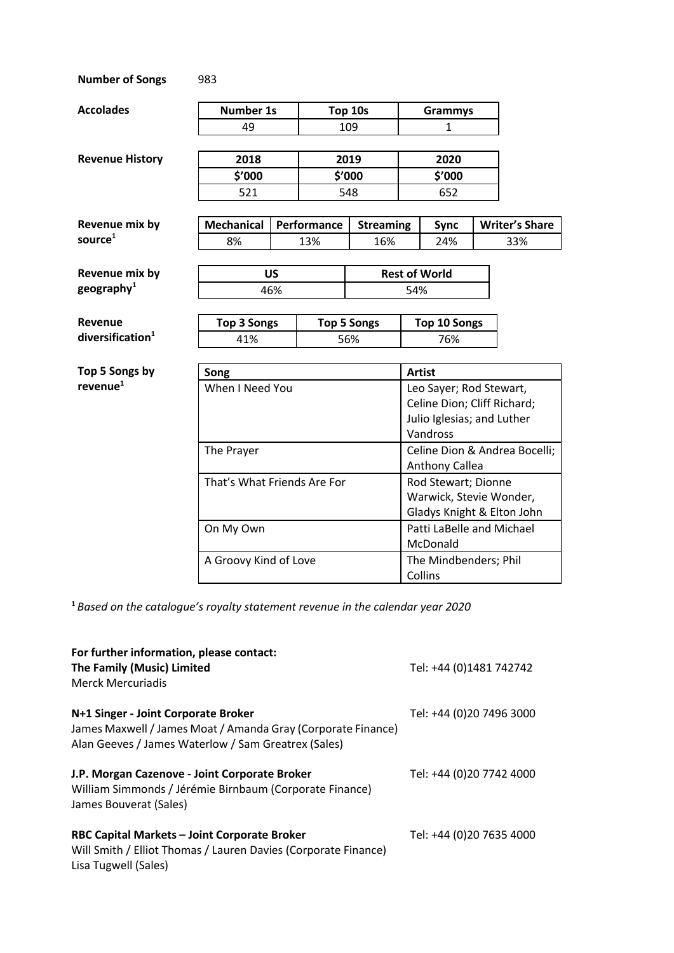| <b>Number of Songs</b>                  | 983                         |                       |                    |                  |                                                        |                            |  |                       |  |
|-----------------------------------------|-----------------------------|-----------------------|--------------------|------------------|--------------------------------------------------------|----------------------------|--|-----------------------|--|
| <b>Accolades</b>                        | <b>Number 1s</b>            |                       | Top 10s            |                  | <b>Grammys</b>                                         |                            |  |                       |  |
|                                         | 49                          |                       |                    | 109              |                                                        | $\mathbf{1}$               |  |                       |  |
|                                         |                             |                       |                    |                  |                                                        |                            |  |                       |  |
| <b>Revenue History</b>                  | 2018                        |                       | 2019               |                  | 2020                                                   |                            |  |                       |  |
|                                         |                             | \$'000                |                    | \$'000           |                                                        | \$'000                     |  |                       |  |
|                                         | 521                         |                       |                    | 548              |                                                        | 652                        |  |                       |  |
| Revenue mix by                          | <b>Mechanical</b>           |                       | Performance        | <b>Streaming</b> |                                                        | <b>Sync</b>                |  | <b>Writer's Share</b> |  |
| source <sup>1</sup>                     | 8%                          |                       | 13%                | 16%              |                                                        | 24%                        |  | 33%                   |  |
|                                         |                             |                       |                    |                  |                                                        |                            |  |                       |  |
| Revenue mix by                          | <b>US</b>                   |                       |                    |                  | <b>Rest of World</b>                                   |                            |  |                       |  |
| geography $1$                           | 46%                         |                       |                    | 54%              |                                                        |                            |  |                       |  |
|                                         |                             |                       |                    |                  |                                                        |                            |  |                       |  |
| Revenue<br>diversification <sup>1</sup> | <b>Top 3 Songs</b>          |                       | <b>Top 5 Songs</b> |                  | <b>Top 10 Songs</b>                                    |                            |  |                       |  |
|                                         | 41%                         |                       | 56%                |                  |                                                        | 76%                        |  |                       |  |
| Top 5 Songs by                          | Song                        |                       |                    |                  |                                                        | <b>Artist</b>              |  |                       |  |
| revenue <sup>1</sup>                    | When I Need You             |                       |                    |                  | Leo Sayer; Rod Stewart,                                |                            |  |                       |  |
|                                         |                             |                       |                    |                  | Celine Dion; Cliff Richard;                            |                            |  |                       |  |
|                                         |                             |                       |                    |                  |                                                        | Julio Iglesias; and Luther |  |                       |  |
|                                         |                             |                       |                    |                  | Vandross                                               |                            |  |                       |  |
| The Prayer                              |                             |                       |                    |                  | Celine Dion & Andrea Bocelli;<br><b>Anthony Callea</b> |                            |  |                       |  |
|                                         | That's What Friends Are For |                       |                    |                  | Rod Stewart; Dionne                                    |                            |  |                       |  |
|                                         |                             |                       |                    |                  | Warwick, Stevie Wonder,                                |                            |  |                       |  |
|                                         |                             |                       |                    |                  | Gladys Knight & Elton John                             |                            |  |                       |  |
|                                         | On My Own                   |                       |                    |                  | Patti LaBelle and Michael<br>McDonald                  |                            |  |                       |  |
|                                         |                             | A Groovy Kind of Love |                    |                  |                                                        | The Mindbenders; Phil      |  |                       |  |

**<sup>1</sup>** *Based on the catalogue's royalty statement revenue in the calendar year 2020*

| For further information, please contact:<br>The Family (Music) Limited<br><b>Merck Mercuriadis</b>                                                         | Tel: +44 (0)1481 742742  |
|------------------------------------------------------------------------------------------------------------------------------------------------------------|--------------------------|
| N+1 Singer - Joint Corporate Broker<br>James Maxwell / James Moat / Amanda Gray (Corporate Finance)<br>Alan Geeves / James Waterlow / Sam Greatrex (Sales) | Tel: +44 (0)20 7496 3000 |
| J.P. Morgan Cazenove - Joint Corporate Broker<br>William Simmonds / Jérémie Birnbaum (Corporate Finance)<br>James Bouverat (Sales)                         | Tel: +44 (0)20 7742 4000 |
| RBC Capital Markets - Joint Corporate Broker<br>Will Smith / Elliot Thomas / Lauren Davies (Corporate Finance)<br>Lisa Tugwell (Sales)                     | Tel: +44 (0)20 7635 4000 |

Collins